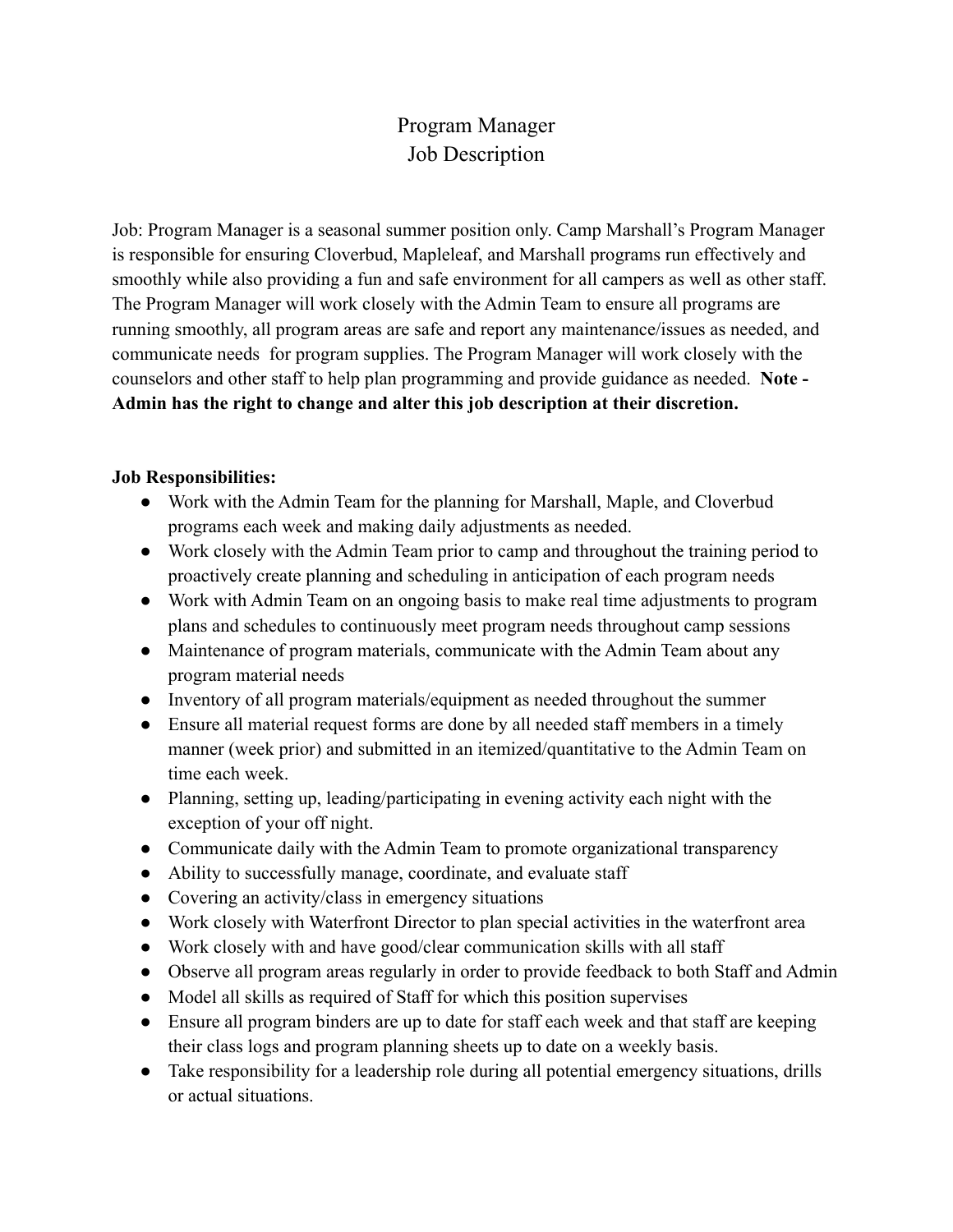## Program Manager Job Description

Job: Program Manager is a seasonal summer position only. Camp Marshall's Program Manager is responsible for ensuring Cloverbud, Mapleleaf, and Marshall programs run effectively and smoothly while also providing a fun and safe environment for all campers as well as other staff. The Program Manager will work closely with the Admin Team to ensure all programs are running smoothly, all program areas are safe and report any maintenance/issues as needed, and communicate needs for program supplies. The Program Manager will work closely with the counselors and other staff to help plan programming and provide guidance as needed. **Note - Admin has the right to change and alter this job description at their discretion.**

## **Job Responsibilities:**

- Work with the Admin Team for the planning for Marshall, Maple, and Cloverbud programs each week and making daily adjustments as needed.
- Work closely with the Admin Team prior to camp and throughout the training period to proactively create planning and scheduling in anticipation of each program needs
- Work with Admin Team on an ongoing basis to make real time adjustments to program plans and schedules to continuously meet program needs throughout camp sessions
- Maintenance of program materials, communicate with the Admin Team about any program material needs
- Inventory of all program materials/equipment as needed throughout the summer
- Ensure all material request forms are done by all needed staff members in a timely manner (week prior) and submitted in an itemized/quantitative to the Admin Team on time each week.
- Planning, setting up, leading/participating in evening activity each night with the exception of your off night.
- Communicate daily with the Admin Team to promote organizational transparency
- Ability to successfully manage, coordinate, and evaluate staff
- Covering an activity/class in emergency situations
- Work closely with Waterfront Director to plan special activities in the waterfront area
- Work closely with and have good/clear communication skills with all staff
- Observe all program areas regularly in order to provide feedback to both Staff and Admin
- Model all skills as required of Staff for which this position supervises
- Ensure all program binders are up to date for staff each week and that staff are keeping their class logs and program planning sheets up to date on a weekly basis.
- Take responsibility for a leadership role during all potential emergency situations, drills or actual situations.